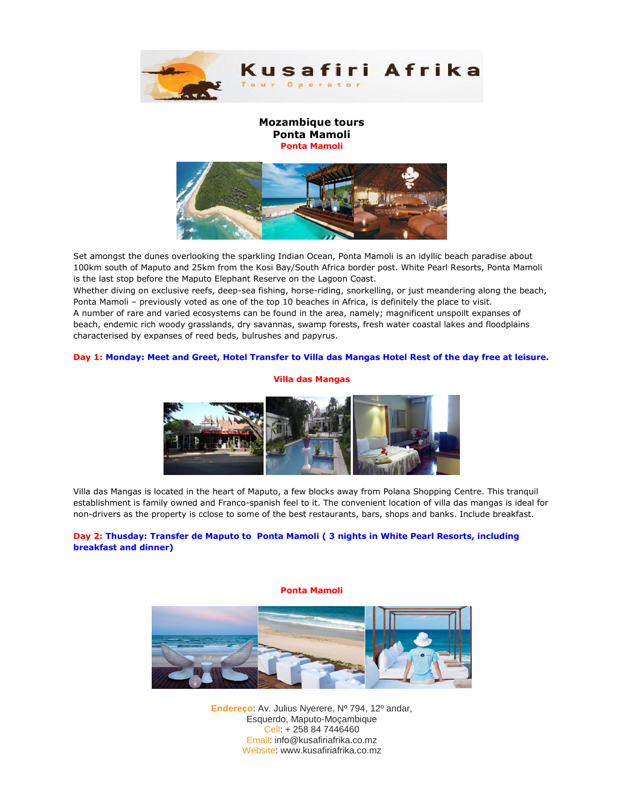

## **Mozambique tours Ponta Mamoli Ponta Mamoli**



Set amongst the dunes overlooking the sparkling Indian Ocean, Ponta Mamoli is an idyllic beach paradise about 100km south of Maputo and 25km from the Kosi Bay/South Africa border post. White Pearl Resorts, Ponta Mamoli is the last stop before the Maputo Elephant Reserve on the Lagoon Coast.

Whether diving on exclusive reefs, deep-sea fishing, horse-riding, snorkelling, or just meandering along the beach, Ponta Mamoli – previously voted as one of the top 10 beaches in Africa, is definitely the place to visit. A number of rare and varied ecosystems can be found in the area, namely; magnificent unspoilt expanses of beach, endemic rich woody grasslands, dry savannas, swamp forests, fresh water coastal lakes and floodplains characterised by expanses of reed beds, bulrushes and papyrus.

### **Day 1: Monday: Meet and Greet, Hotel Transfer to Villa das Mangas Hotel Rest of the day free at leisure.**

### **Villa das Mangas**



Villa das Mangas is located in the heart of Maputo, a few blocks away from Polana Shopping Centre. This tranquil establishment is family owned and Franco-spanish feel to it. The convenient location of villa das mangas is ideal for non-drivers as the property is cclose to some of the best restaurants, bars, shops and banks. Include breakfast.

## **Day 2: Thusday: Transfer de Maputo to Ponta Mamoli ( 3 nights in White Pearl Resorts, including breakfast and dinner)**

#### **Ponta Mamoli**



**Endereço**: Av. Julius Nyerere, Nº 794, 12º andar, Esquerdo, Maputo-Moçambique Cell: + 258 84 7446460 Email: info@kusafiriafrika.co.mz Website: www.kusafiriafrika.co.mz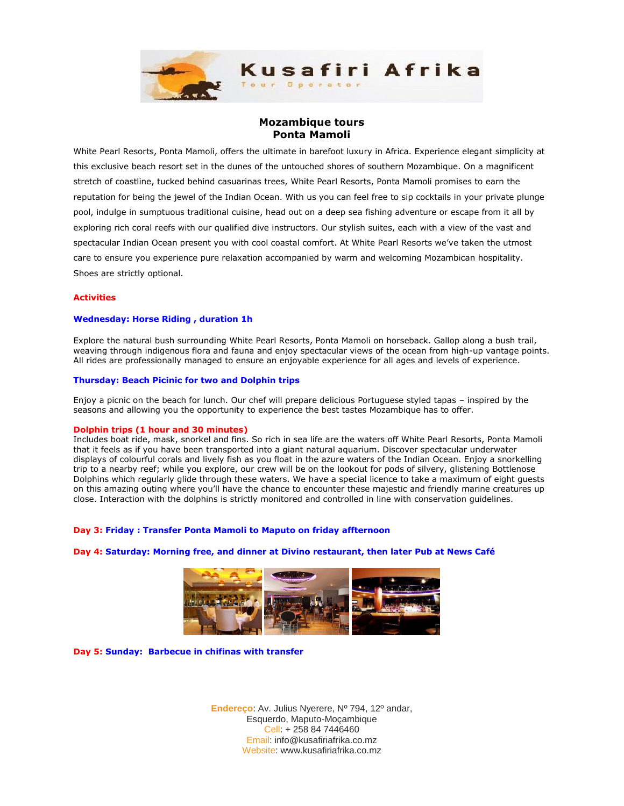

# **Mozambique tours Ponta Mamoli**

White Pearl Resorts, Ponta Mamoli, offers the ultimate in barefoot luxury in Africa. Experience elegant simplicity at this exclusive beach resort set in the dunes of the untouched shores of southern Mozambique. On a magnificent stretch of coastline, tucked behind casuarinas trees, White Pearl Resorts, Ponta Mamoli promises to earn the reputation for being the jewel of the Indian Ocean. With us you can feel free to sip cocktails in your private plunge pool, indulge in sumptuous traditional cuisine, head out on a deep sea fishing adventure or escape from it all by exploring rich coral reefs with our qualified dive instructors. Our stylish suites, each with a view of the vast and spectacular Indian Ocean present you with cool coastal comfort. At White Pearl Resorts we've taken the utmost care to ensure you experience pure relaxation accompanied by warm and welcoming Mozambican hospitality. Shoes are strictly optional.

#### **Activities**

### **Wednesday: Horse Riding , duration 1h**

Explore the natural bush surrounding White Pearl Resorts, Ponta Mamoli on horseback. Gallop along a bush trail, weaving through indigenous flora and fauna and enjoy spectacular views of the ocean from high-up vantage points. All rides are professionally managed to ensure an enjoyable experience for all ages and levels of experience.

#### **Thursday: Beach Picinic for two and Dolphin trips**

Enjoy a picnic on the beach for lunch. Our chef will prepare delicious Portuguese styled tapas – inspired by the seasons and allowing you the opportunity to experience the best tastes Mozambique has to offer.

#### **Dolphin trips (1 hour and 30 minutes)**

Includes boat ride, mask, snorkel and fins. So rich in sea life are the waters off White Pearl Resorts, Ponta Mamoli that it feels as if you have been transported into a giant natural aquarium. Discover spectacular underwater displays of colourful corals and lively fish as you float in the azure waters of the Indian Ocean. Enjoy a snorkelling trip to a nearby reef; while you explore, our crew will be on the lookout for pods of silvery, glistening Bottlenose Dolphins which regularly glide through these waters. We have a special licence to take a maximum of eight guests on this amazing outing where you'll have the chance to encounter these majestic and friendly marine creatures up close. Interaction with the dolphins is strictly monitored and controlled in line with conservation guidelines.

#### **Day 3: Friday : Transfer Ponta Mamoli to Maputo on friday affternoon**

#### **Day 4: Saturday: Morning free, and dinner at Divino restaurant, then later Pub at News Café**



**Day 5: Sunday: Barbecue in chifinas with transfer**

**Endereço**: Av. Julius Nyerere, Nº 794, 12º andar, Esquerdo, Maputo-Moçambique Cell: + 258 84 7446460 Email: info@kusafiriafrika.co.mz Website: www.kusafiriafrika.co.mz